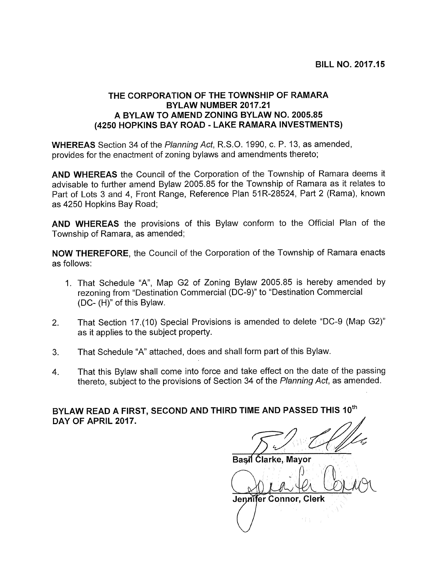## THE CORPORATION OF THE TOWNSHIP OF RAMARA BYLAW NUMBER 2017.21 A BYLAW TO AMEND ZONING BYLAW NO. 2005.85 (4250 HOPKINS BAY ROAD - LAKE RAMARA INVESTMENTS)

WHEREAS Section 34 of the Planning Act, R.S.O. 1990, c. P. 13, as amended, provides for the enactment of zoning bylaws and amendments thereto;

AND WHEREAS the Council of the Corporation of the Township of Ramara deems it advisable to further amend Bylaw 2005.85 for the Township of Ramara as it relates to Part of Lots 3 and 4, Front Range, Reference Plan 51R-28524, Part 2 (Rama), known as 4250 Hopkins Bay Road;

AND WHEREAS the provisions of this Bylaw conform to the Official Plan of the Township of Ramara, as amended;

NOW THEREFORE, the Council of the Corporation of the Township of Ramara enacts as follows:

- 1. That Schedule "A", Map G2 of Zoning Bylaw 2005.85 is hereby amended by rezoning from "Destination Commercial (DC-9)" to "Destination Commercial (DC- (H)" of this Bylaw.
- 2. That Section 17.(10) Special Provisions is amended to delete "DC-9 (Map G2)" as it applies to the subject property.
- 3. That Schedule "A" attached, does and shall form part of this Bylaw.
- 4. That this Bylaw shall come into force and take effect on the date of the passing thereto, subject to the provisions of Section 34 of the Planning Act, as amended.

BYLAW READ A FIRST, SECOND AND THIRD TIME AND PASSED THIS 10<sup>th</sup> DAY OF APRIL 2017.

Basil Ćlarke, Mayor water of the Mayor<br>The Mayor<br>Mayor<br>Connor, Cle

Jennifer Connor, Clerk